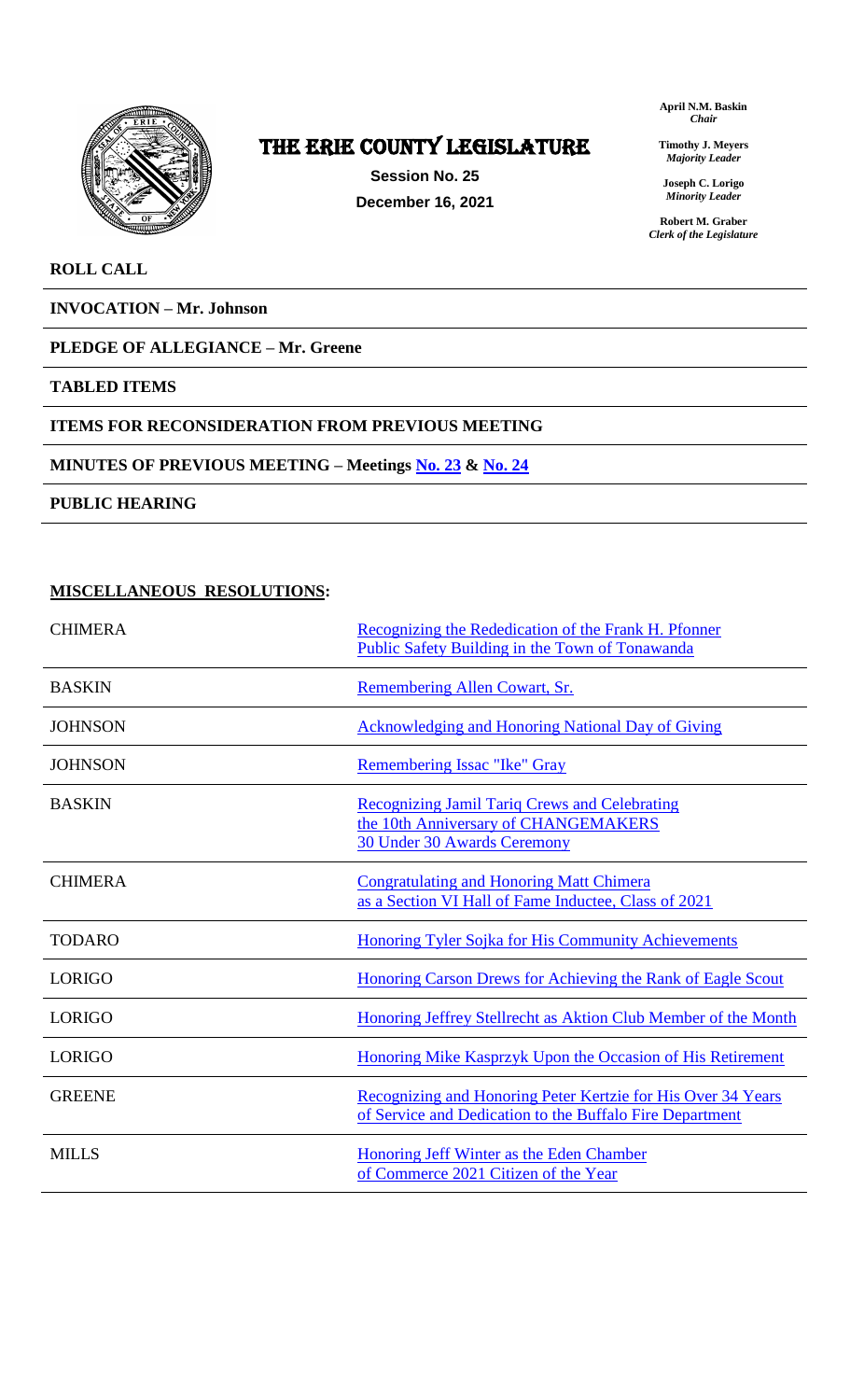

# The ERIE COUNTY LEGISLATURE

**Session No. 25 December 16, 2021** **April N.M. Baskin** *Chair*

**Timothy J. Meyers** *Majority Leader*

**Joseph C. Lorigo** *Minority Leader*

**Robert M. Graber** *Clerk of the Legislature*

#### **ROLL CALL**

**INVOCATION – Mr. Johnson**

### **PLEDGE OF ALLEGIANCE – Mr. Greene**

#### **TABLED ITEMS**

#### **ITEMS FOR RECONSIDERATION FROM PREVIOUS MEETING**

#### **MINUTES OF PREVIOUS MEETING – Meetings [No. 23](https://www2.erie.gov/legislature/sites/www2.erie.gov.legislature/files/uploads/Session_Folders/Meeting%2023%20from%202021%20Minutes.pdf) & [No. 24](https://www2.erie.gov/legislature/sites/www2.erie.gov.legislature/files/uploads/Session_Folders/Meeting%2024%20from%202021%20minutes.pdf)**

**PUBLIC HEARING**

#### **MISCELLANEOUS RESOLUTIONS:**

| <b>CHIMERA</b> | Recognizing the Rededication of the Frank H. Pfonner<br>Public Safety Building in the Town of Tonawanda                     |
|----------------|-----------------------------------------------------------------------------------------------------------------------------|
| <b>BASKIN</b>  | Remembering Allen Cowart, Sr.                                                                                               |
| <b>JOHNSON</b> | <b>Acknowledging and Honoring National Day of Giving</b>                                                                    |
| <b>JOHNSON</b> | Remembering Issac "Ike" Gray                                                                                                |
| <b>BASKIN</b>  | Recognizing Jamil Tariq Crews and Celebrating<br>the 10th Anniversary of CHANGEMAKERS<br><b>30 Under 30 Awards Ceremony</b> |
| <b>CHIMERA</b> | <b>Congratulating and Honoring Matt Chimera</b><br>as a Section VI Hall of Fame Inductee, Class of 2021                     |
| <b>TODARO</b>  | <b>Honoring Tyler Sojka for His Community Achievements</b>                                                                  |
| <b>LORIGO</b>  | Honoring Carson Drews for Achieving the Rank of Eagle Scout                                                                 |
| <b>LORIGO</b>  | Honoring Jeffrey Stellrecht as Aktion Club Member of the Month                                                              |
| <b>LORIGO</b>  | Honoring Mike Kasprzyk Upon the Occasion of His Retirement                                                                  |
| <b>GREENE</b>  | Recognizing and Honoring Peter Kertzie for His Over 34 Years<br>of Service and Dedication to the Buffalo Fire Department    |
| <b>MILLS</b>   | Honoring Jeff Winter as the Eden Chamber<br>of Commerce 2021 Citizen of the Year                                            |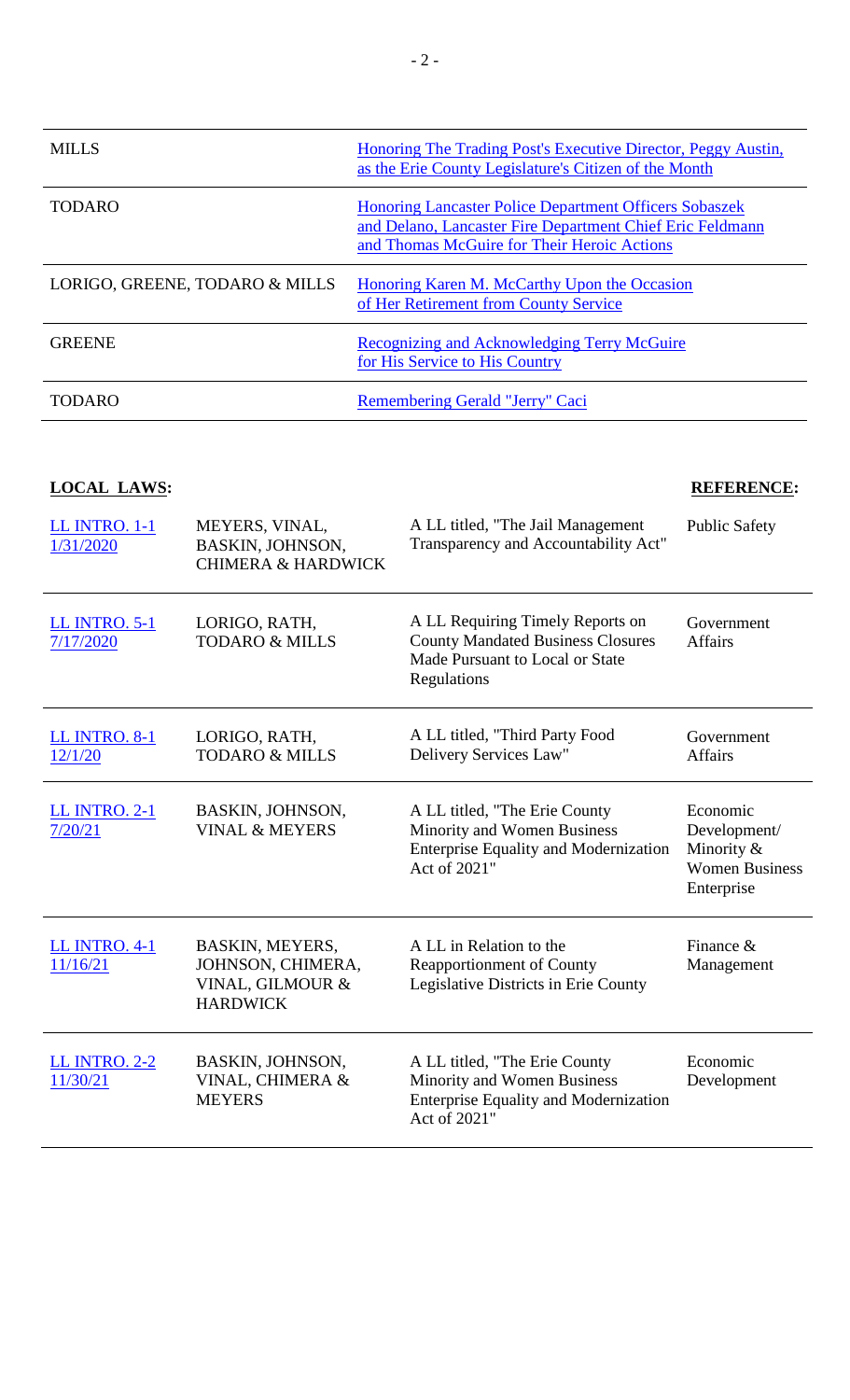| <b>MILLS</b>                   | Honoring The Trading Post's Executive Director, Peggy Austin,<br>as the Erie County Legislature's Citizen of the Month                                                    |
|--------------------------------|---------------------------------------------------------------------------------------------------------------------------------------------------------------------------|
| <b>TODARO</b>                  | <b>Honoring Lancaster Police Department Officers Sobaszek</b><br>and Delano, Lancaster Fire Department Chief Eric Feldmann<br>and Thomas McGuire for Their Heroic Actions |
| LORIGO, GREENE, TODARO & MILLS | Honoring Karen M. McCarthy Upon the Occasion<br>of Her Retirement from County Service                                                                                     |
| <b>GREENE</b>                  | <b>Recognizing and Acknowledging Terry McGuire</b><br>for His Service to His Country                                                                                      |
| <b>TODARO</b>                  | Remembering Gerald "Jerry" Caci                                                                                                                                           |

### **LOCAL LAWS: REFERENCE:**

| <b>LL INTRO. 1-1</b><br>1/31/2020 | MEYERS, VINAL,<br>BASKIN, JOHNSON,<br><b>CHIMERA &amp; HARDWICK</b>         | A LL titled, "The Jail Management<br>Transparency and Accountability Act"                                                           | <b>Public Safety</b>                                                          |
|-----------------------------------|-----------------------------------------------------------------------------|-------------------------------------------------------------------------------------------------------------------------------------|-------------------------------------------------------------------------------|
| <b>LL INTRO. 5-1</b><br>7/17/2020 | LORIGO, RATH,<br><b>TODARO &amp; MILLS</b>                                  | A LL Requiring Timely Reports on<br><b>County Mandated Business Closures</b><br>Made Pursuant to Local or State<br>Regulations      | Government<br><b>Affairs</b>                                                  |
| <b>LL INTRO. 8-1</b><br>12/1/20   | LORIGO, RATH,<br><b>TODARO &amp; MILLS</b>                                  | A LL titled, "Third Party Food<br>Delivery Services Law"                                                                            | Government<br><b>Affairs</b>                                                  |
| <b>LL INTRO. 2-1</b><br>7/20/21   | BASKIN, JOHNSON,<br><b>VINAL &amp; MEYERS</b>                               | A LL titled, "The Erie County<br><b>Minority and Women Business</b><br><b>Enterprise Equality and Modernization</b><br>Act of 2021" | Economic<br>Development/<br>Minority &<br><b>Women Business</b><br>Enterprise |
| <b>LL INTRO. 4-1</b><br>11/16/21  | BASKIN, MEYERS,<br>JOHNSON, CHIMERA,<br>VINAL, GILMOUR &<br><b>HARDWICK</b> | A LL in Relation to the<br><b>Reapportionment of County</b><br>Legislative Districts in Erie County                                 | Finance $\&$<br>Management                                                    |
| <b>LL INTRO. 2-2</b><br>11/30/21  | BASKIN, JOHNSON,<br>VINAL, CHIMERA &<br><b>MEYERS</b>                       | A LL titled, "The Erie County<br><b>Minority and Women Business</b><br><b>Enterprise Equality and Modernization</b><br>Act of 2021" | Economic<br>Development                                                       |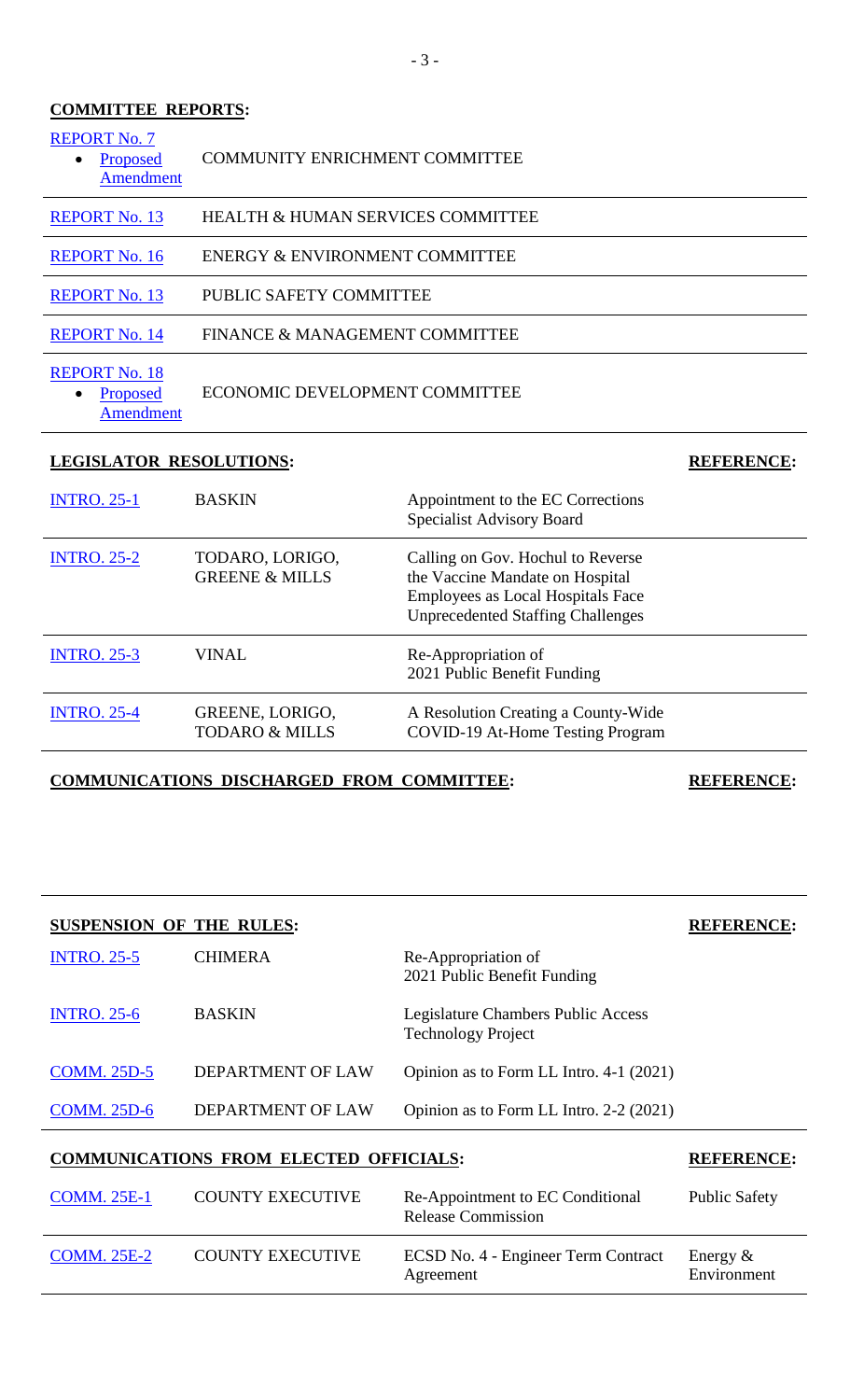### **COMMITTEE REPORTS:**

| <b>REPORT No. 7</b><br>Proposed<br><b>Amendment</b>        | <b>COMMUNITY ENRICHMENT COMMITTEE</b>        |                                                                                                                                                              |                   |  |
|------------------------------------------------------------|----------------------------------------------|--------------------------------------------------------------------------------------------------------------------------------------------------------------|-------------------|--|
| <b>REPORT No. 13</b>                                       | <b>HEALTH &amp; HUMAN SERVICES COMMITTEE</b> |                                                                                                                                                              |                   |  |
| <b>REPORT No. 16</b>                                       | ENERGY & ENVIRONMENT COMMITTEE               |                                                                                                                                                              |                   |  |
| <b>REPORT No. 13</b>                                       |                                              | PUBLIC SAFETY COMMITTEE                                                                                                                                      |                   |  |
| <b>REPORT No. 14</b>                                       | FINANCE & MANAGEMENT COMMITTEE               |                                                                                                                                                              |                   |  |
| <b>REPORT No. 18</b><br>Proposed<br>$\bullet$<br>Amendment | ECONOMIC DEVELOPMENT COMMITTEE               |                                                                                                                                                              |                   |  |
|                                                            |                                              |                                                                                                                                                              |                   |  |
| <b>LEGISLATOR RESOLUTIONS:</b>                             |                                              |                                                                                                                                                              | <b>REFERENCE:</b> |  |
| <b>INTRO. 25-1</b>                                         | <b>BASKIN</b>                                | Appointment to the EC Corrections<br><b>Specialist Advisory Board</b>                                                                                        |                   |  |
| <b>INTRO. 25-2</b>                                         | TODARO, LORIGO,<br><b>GREENE &amp; MILLS</b> | Calling on Gov. Hochul to Reverse<br>the Vaccine Mandate on Hospital<br><b>Employees as Local Hospitals Face</b><br><b>Unprecedented Staffing Challenges</b> |                   |  |
| <b>INTRO. 25-3</b>                                         | <b>VINAL</b>                                 | Re-Appropriation of<br>2021 Public Benefit Funding                                                                                                           |                   |  |

**COMMUNICATIONS DISCHARGED FROM COMMITTEE: REFERENCE:**

| <b>SUSPENSION OF THE RULES:</b> |                   | <b>REFERENCE:</b>                                               |  |
|---------------------------------|-------------------|-----------------------------------------------------------------|--|
| <b>INTRO. 25-5</b>              | <b>CHIMERA</b>    | Re-Appropriation of<br>2021 Public Benefit Funding              |  |
| <b>INTRO. 25-6</b>              | <b>BASKIN</b>     | Legislature Chambers Public Access<br><b>Technology Project</b> |  |
| <b>COMM. 25D-5</b>              | DEPARTMENT OF LAW | Opinion as to Form LL Intro. 4-1 (2021)                         |  |
| <b>COMM. 25D-6</b>              | DEPARTMENT OF LAW | Opinion as to Form LL Intro. 2-2 (2021)                         |  |
|                                 |                   |                                                                 |  |

## **COMMUNICATIONS FROM ELECTED OFFICIALS: REFERENCE:**

| <b>COMM. 25E-1</b> | <b>COUNTY EXECUTIVE</b> | Re-Appointment to EC Conditional<br><b>Release Commission</b> | <b>Public Safety</b>       |
|--------------------|-------------------------|---------------------------------------------------------------|----------------------------|
| <b>COMM. 25E-2</b> | <b>COUNTY EXECUTIVE</b> | ECSD No. 4 - Engineer Term Contract<br>Agreement              | Energy $\&$<br>Environment |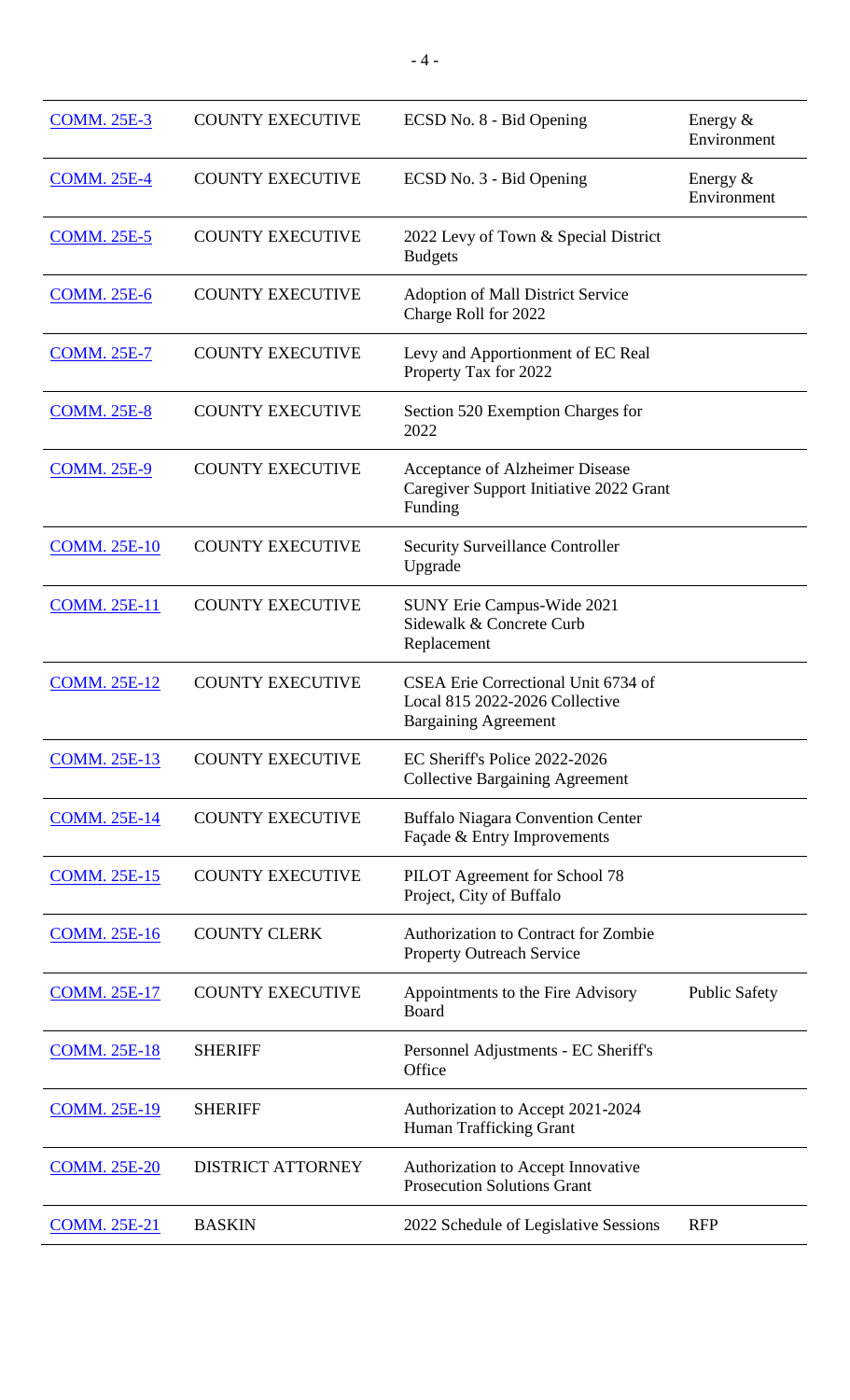| <b>COMM. 25E-3</b>  | <b>COUNTY EXECUTIVE</b>  | ECSD No. 8 - Bid Opening                                                                             | Energy $&$<br>Environment |
|---------------------|--------------------------|------------------------------------------------------------------------------------------------------|---------------------------|
| <b>COMM. 25E-4</b>  | <b>COUNTY EXECUTIVE</b>  | ECSD No. 3 - Bid Opening                                                                             | Energy $&$<br>Environment |
| <b>COMM. 25E-5</b>  | <b>COUNTY EXECUTIVE</b>  | 2022 Levy of Town & Special District<br><b>Budgets</b>                                               |                           |
| <b>COMM. 25E-6</b>  | <b>COUNTY EXECUTIVE</b>  | <b>Adoption of Mall District Service</b><br>Charge Roll for 2022                                     |                           |
| <b>COMM. 25E-7</b>  | <b>COUNTY EXECUTIVE</b>  | Levy and Apportionment of EC Real<br>Property Tax for 2022                                           |                           |
| <b>COMM. 25E-8</b>  | <b>COUNTY EXECUTIVE</b>  | Section 520 Exemption Charges for<br>2022                                                            |                           |
| <b>COMM. 25E-9</b>  | <b>COUNTY EXECUTIVE</b>  | Acceptance of Alzheimer Disease<br>Caregiver Support Initiative 2022 Grant<br>Funding                |                           |
| <b>COMM. 25E-10</b> | <b>COUNTY EXECUTIVE</b>  | <b>Security Surveillance Controller</b><br>Upgrade                                                   |                           |
| <b>COMM. 25E-11</b> | <b>COUNTY EXECUTIVE</b>  | <b>SUNY Erie Campus-Wide 2021</b><br>Sidewalk & Concrete Curb<br>Replacement                         |                           |
| <b>COMM. 25E-12</b> | <b>COUNTY EXECUTIVE</b>  | CSEA Erie Correctional Unit 6734 of<br>Local 815 2022-2026 Collective<br><b>Bargaining Agreement</b> |                           |
| <b>COMM. 25E-13</b> | <b>COUNTY EXECUTIVE</b>  | EC Sheriff's Police 2022-2026<br><b>Collective Bargaining Agreement</b>                              |                           |
| <b>COMM. 25E-14</b> | <b>COUNTY EXECUTIVE</b>  | <b>Buffalo Niagara Convention Center</b><br>Façade & Entry Improvements                              |                           |
| <b>COMM. 25E-15</b> | <b>COUNTY EXECUTIVE</b>  | PILOT Agreement for School 78<br>Project, City of Buffalo                                            |                           |
| <b>COMM. 25E-16</b> | <b>COUNTY CLERK</b>      | Authorization to Contract for Zombie<br><b>Property Outreach Service</b>                             |                           |
| <b>COMM. 25E-17</b> | <b>COUNTY EXECUTIVE</b>  | Appointments to the Fire Advisory<br>Board                                                           | <b>Public Safety</b>      |
| <b>COMM. 25E-18</b> | <b>SHERIFF</b>           | Personnel Adjustments - EC Sheriff's<br>Office                                                       |                           |
| <b>COMM. 25E-19</b> | <b>SHERIFF</b>           | Authorization to Accept 2021-2024<br><b>Human Trafficking Grant</b>                                  |                           |
| <b>COMM. 25E-20</b> | <b>DISTRICT ATTORNEY</b> | Authorization to Accept Innovative<br><b>Prosecution Solutions Grant</b>                             |                           |
| <b>COMM. 25E-21</b> | <b>BASKIN</b>            | 2022 Schedule of Legislative Sessions                                                                | <b>RFP</b>                |